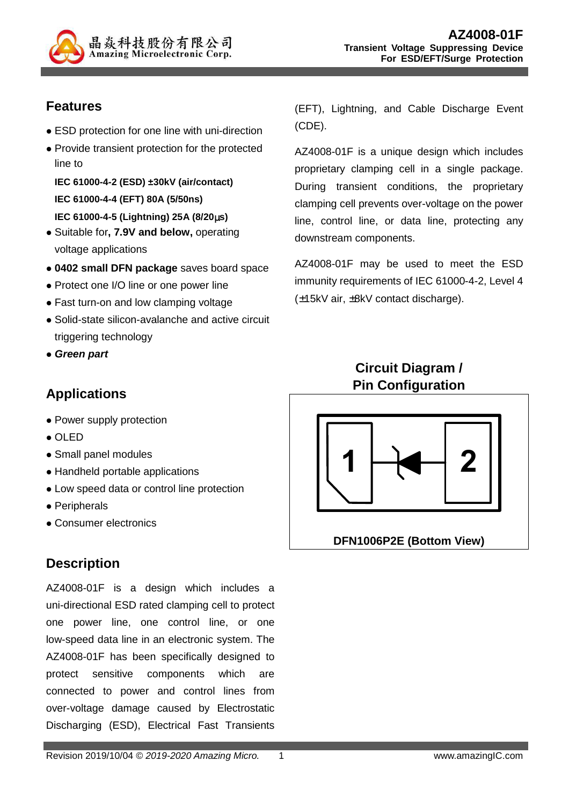

# **Features**

- ESD protection for one line with uni-direction
- Provide transient protection for the protected line to

**IEC 61000-4-2 (ESD) ±30kV (air/contact) IEC 61000-4-4 (EFT) 80A (5/50ns) IEC 61000-4-5 (Lightning) 25A (8/20**µ**s)** 

- Suitable for**, 7.9V and below,** operating
- voltage applications **0402 small DFN package** saves board space
- Protect one I/O line or one power line
- Fast turn-on and low clamping voltage
- Solid-state silicon-avalanche and active circuit triggering technology
- **Green part**

# **Applications**

- Power supply protection
- $\bullet$  OLED
- Small panel modules
- Handheld portable applications
- Low speed data or control line protection
- Peripherals
- Consumer electronics

# **Description**

AZ4008-01F is a design which includes a uni-directional ESD rated clamping cell to protect one power line, one control line, or one low-speed data line in an electronic system. The AZ4008-01F has been specifically designed to protect sensitive components which are connected to power and control lines from over-voltage damage caused by Electrostatic Discharging (ESD), Electrical Fast Transients (EFT), Lightning, and Cable Discharge Event (CDE).

AZ4008-01F is a unique design which includes proprietary clamping cell in a single package. During transient conditions, the proprietary clamping cell prevents over-voltage on the power line, control line, or data line, protecting any downstream components.

AZ4008-01F may be used to meet the ESD immunity requirements of IEC 61000-4-2, Level 4 (±15kV air, ±8kV contact discharge).

### **Circuit Diagram / Pin Configuration**



**DFN1006P2E (Bottom View)**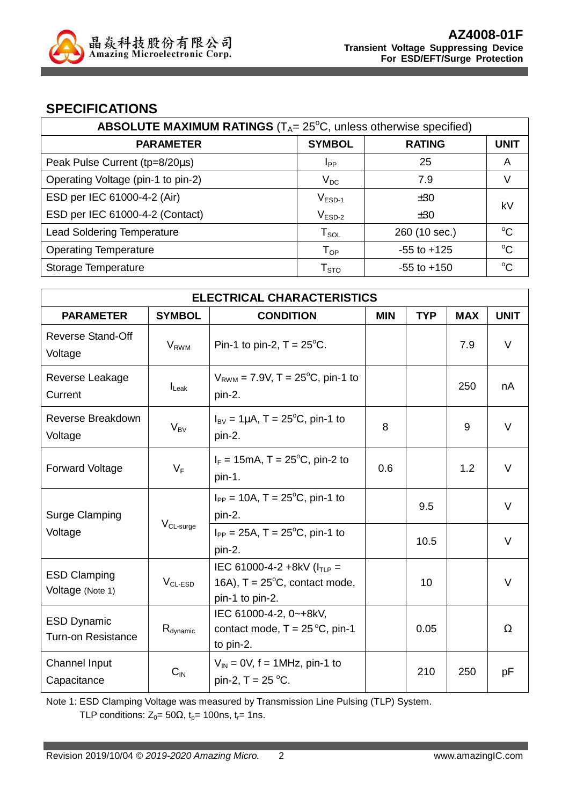

#### **SPECIFICATIONS**

| <b>ABSOLUTE MAXIMUM RATINGS</b> ( $T_A = 25^\circ\text{C}$ , unless otherwise specified) |                        |                 |             |  |
|------------------------------------------------------------------------------------------|------------------------|-----------------|-------------|--|
| <b>PARAMETER</b>                                                                         | <b>SYMBOL</b>          | <b>RATING</b>   | <b>UNIT</b> |  |
| Peak Pulse Current (tp=8/20µs)                                                           | <b>I</b> pp            | 25              | A           |  |
| Operating Voltage (pin-1 to pin-2)                                                       | $V_{DC}$               | 7.9             | V           |  |
| ESD per IEC 61000-4-2 (Air)                                                              | $V_{ESD-1}$            | ±30             | kV          |  |
| ESD per IEC 61000-4-2 (Contact)                                                          | $V_{ESD-2}$            | ±30             |             |  |
| <b>Lead Soldering Temperature</b>                                                        | $T_{SOL}$              | 260 (10 sec.)   | $^{\circ}C$ |  |
| <b>Operating Temperature</b>                                                             | $T_{OP}$               | $-55$ to $+125$ | $^{\circ}C$ |  |
| Storage Temperature                                                                      | ${\sf T}_{\text{STO}}$ | $-55$ to $+150$ | $\rm ^{o}C$ |  |

| <b>ELECTRICAL CHARACTERISTICS</b>               |                                               |                                                                                                |            |            |            |             |
|-------------------------------------------------|-----------------------------------------------|------------------------------------------------------------------------------------------------|------------|------------|------------|-------------|
| <b>PARAMETER</b>                                | <b>SYMBOL</b>                                 | <b>CONDITION</b>                                                                               | <b>MIN</b> | <b>TYP</b> | <b>MAX</b> | <b>UNIT</b> |
| <b>Reverse Stand-Off</b><br>Voltage             | $V_{RWM}$                                     | Pin-1 to pin-2, $T = 25^{\circ}$ C.                                                            |            |            | 7.9        | $\vee$      |
| Reverse Leakage<br>Current                      | $I_{\text{Leak}}$                             | $V_{RWM}$ = 7.9V, T = 25 <sup>o</sup> C, pin-1 to<br>pin-2.                                    |            |            | 250        | nA          |
| Reverse Breakdown<br>Voltage                    | $V_{BV}$                                      | $I_{\text{BV}} = 1 \mu A$ , T = 25 <sup>o</sup> C, pin-1 to<br>pin-2.                          | 8          |            | 9          | $\vee$      |
| <b>Forward Voltage</b>                          | $V_F$                                         | $I_F = 15 \text{mA}, T = 25^{\circ}\text{C}, \text{pin-2 to}$<br>pin-1.                        | 0.6        |            | 1.2        | $\vee$      |
| Surge Clamping                                  |                                               | $I_{PP} = 10A$ , T = 25°C, pin-1 to<br>pin-2.                                                  |            | 9.5        |            | $\vee$      |
| V <sub>CL-surge</sub><br>Voltage                | $I_{PP} = 25A$ , T = 25°C, pin-1 to<br>pin-2. |                                                                                                | 10.5       |            | $\vee$     |             |
| <b>ESD Clamping</b><br>Voltage (Note 1)         | $V_{CL-ESD}$                                  | IEC 61000-4-2 +8kV ( $I_{TLP}$ =<br>16A), $T = 25^{\circ}C$ , contact mode,<br>pin-1 to pin-2. |            | 10         |            | $\vee$      |
| <b>ESD Dynamic</b><br><b>Turn-on Resistance</b> | $R_{\text{dynamic}}$                          | IEC 61000-4-2, 0~+8kV,<br>contact mode, $T = 25^{\circ}C$ , pin-1<br>to pin-2.                 |            | 0.05       |            | Ω           |
| <b>Channel Input</b><br>Capacitance             | $C_{IN}$                                      | $V_{\text{IN}}$ = 0V, f = 1MHz, pin-1 to<br>pin-2, $T = 25 °C$ .                               |            | 210        | 250        | pF          |

Note 1: ESD Clamping Voltage was measured by Transmission Line Pulsing (TLP) System.

TLP conditions:  $Z_0 = 50\Omega$ ,  $t_0 = 100$ ns,  $t_r = 1$ ns.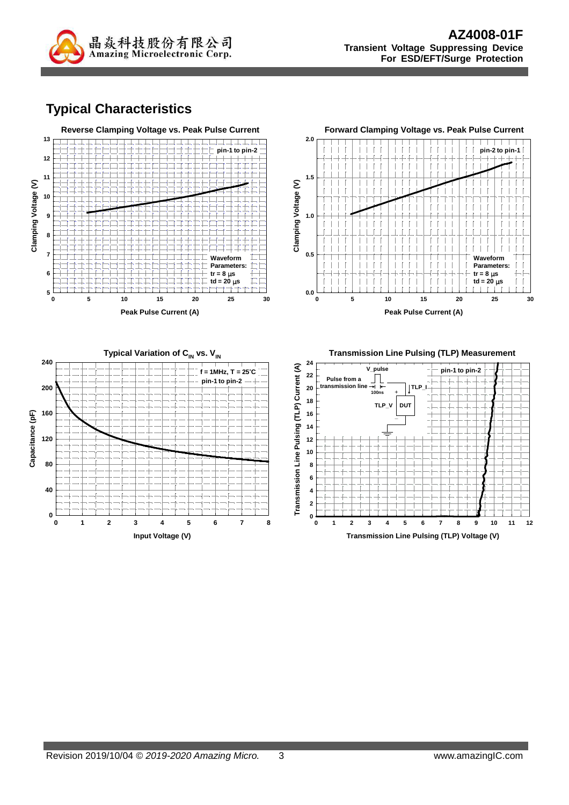

# **Typical Characteristics**

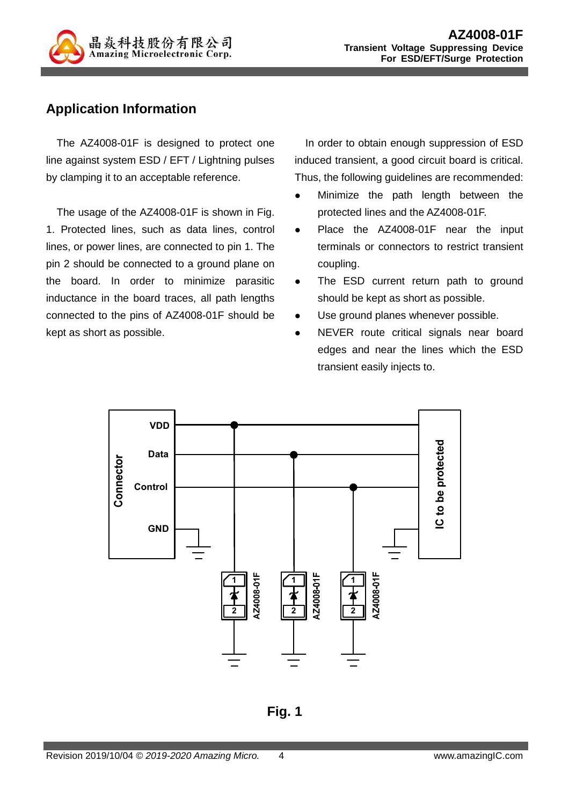

# **Application Information**

The AZ4008-01F is designed to protect one line against system ESD / EFT / Lightning pulses by clamping it to an acceptable reference.

The usage of the AZ4008-01F is shown in Fig. 1. Protected lines, such as data lines, control lines, or power lines, are connected to pin 1. The pin 2 should be connected to a ground plane on the board. In order to minimize parasitic inductance in the board traces, all path lengths connected to the pins of AZ4008-01F should be kept as short as possible.

In order to obtain enough suppression of ESD induced transient, a good circuit board is critical. Thus, the following guidelines are recommended:

- Minimize the path length between the protected lines and the AZ4008-01F.
- Place the AZ4008-01F near the input terminals or connectors to restrict transient coupling.
- The ESD current return path to ground should be kept as short as possible.
- Use ground planes whenever possible.
- NEVER route critical signals near board edges and near the lines which the ESD transient easily injects to.



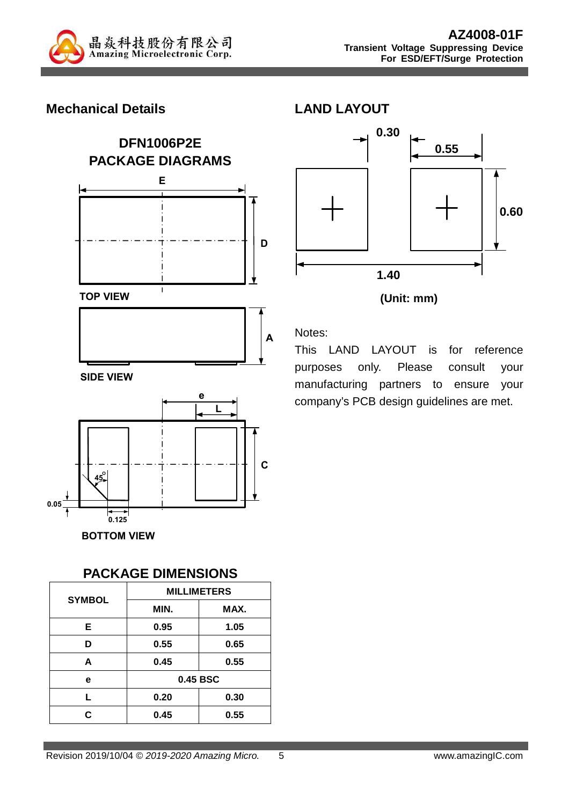

#### **Mechanical Details**



**BOTTOM VIEW**

#### **PACKAGE DIMENSIONS**

| <b>SYMBOL</b> | <b>MILLIMETERS</b> |          |  |  |
|---------------|--------------------|----------|--|--|
|               | MIN.               | MAX.     |  |  |
| Е             | 0.95               | 1.05     |  |  |
| D             | 0.55               | 0.65     |  |  |
| A             | 0.45               | 0.55     |  |  |
| е             |                    | 0.45 BSC |  |  |
| L             | 0.20               | 0.30     |  |  |
| r.            | 0.45               | 0.55     |  |  |





#### Notes:

This LAND LAYOUT is for reference purposes only. Please consult your manufacturing partners to ensure your company's PCB design guidelines are met.